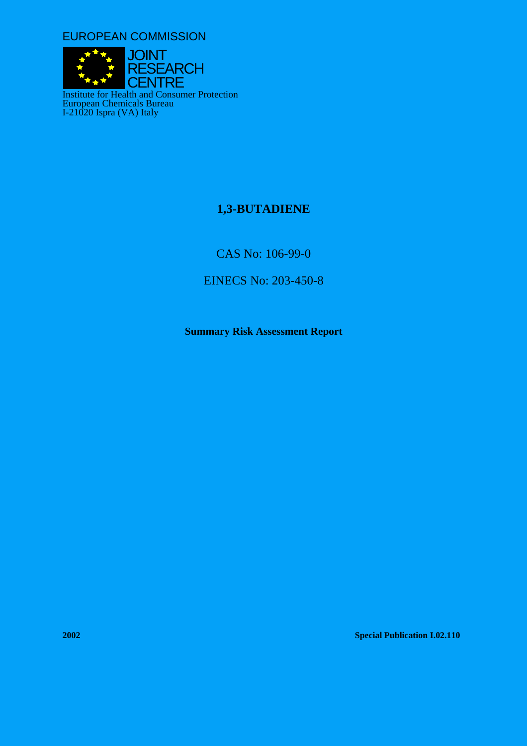EUROPEAN COMMISSION



# **1,3-BUTADIENE**

CAS No: 106-99-0

EINECS No: 203-450-8

**Summary Risk Assessment Report** 

**2002 Special Publication I.02.110**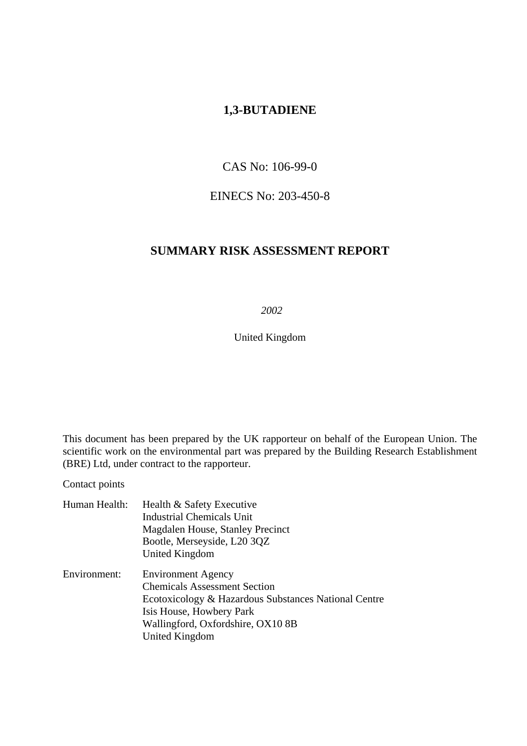# **1,3-BUTADIENE**

# CAS No: 106-99-0

# EINECS No: 203-450-8

# **SUMMARY RISK ASSESSMENT REPORT**

 *2002* 

United Kingdom

This document has been prepared by the UK rapporteur on behalf of the European Union. The scientific work on the environmental part was prepared by the Building Research Establishment (BRE) Ltd, under contract to the rapporteur.

Contact points

| Human Health: | Health & Safety Executive                            |  |  |
|---------------|------------------------------------------------------|--|--|
|               | <b>Industrial Chemicals Unit</b>                     |  |  |
|               | Magdalen House, Stanley Precinct                     |  |  |
|               | Bootle, Merseyside, L20 3QZ                          |  |  |
|               | United Kingdom                                       |  |  |
| Environment:  | <b>Environment Agency</b>                            |  |  |
|               | <b>Chemicals Assessment Section</b>                  |  |  |
|               | Ecotoxicology & Hazardous Substances National Centre |  |  |
|               | Isis House, Howbery Park                             |  |  |
|               | Wallingford, Oxfordshire, OX10 8B                    |  |  |
|               | United Kingdom                                       |  |  |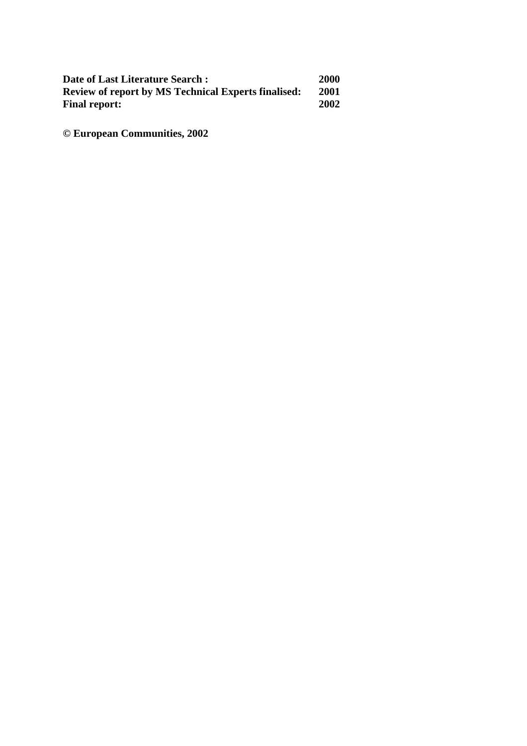| Date of Last Literature Search:                            | 2000 |
|------------------------------------------------------------|------|
| <b>Review of report by MS Technical Experts finalised:</b> | 2001 |
| <b>Final report:</b>                                       | 2002 |

**© European Communities, 2002**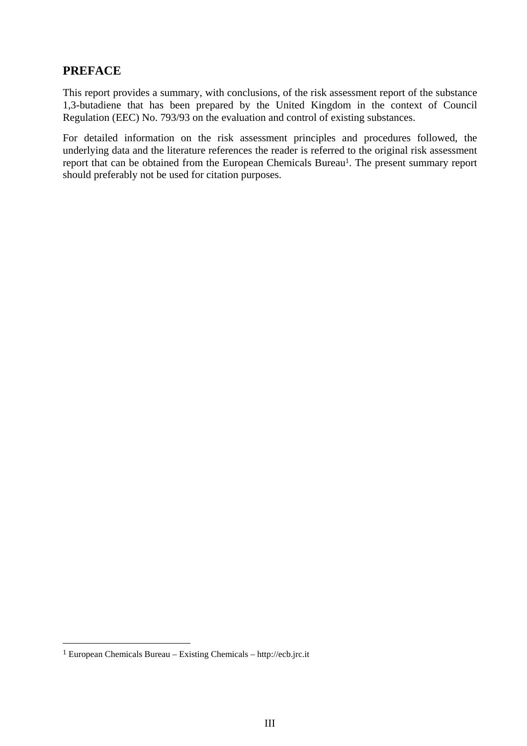# **PREFACE**

This report provides a summary, with conclusions, of the risk assessment report of the substance 1,3-butadiene that has been prepared by the United Kingdom in the context of Council Regulation (EEC) No. 793/93 on the evaluation and control of existing substances.

For detailed information on the risk assessment principles and procedures followed, the underlying data and the literature references the reader is referred to the original risk assessment report that can be obtained from the European Chemicals Bureau<sup>1</sup>. The present summary report should preferably not be used for citation purposes.

 $\overline{a}$ 

<span id="page-4-0"></span><sup>1</sup> European Chemicals Bureau – Existing Chemicals – http://ecb.jrc.it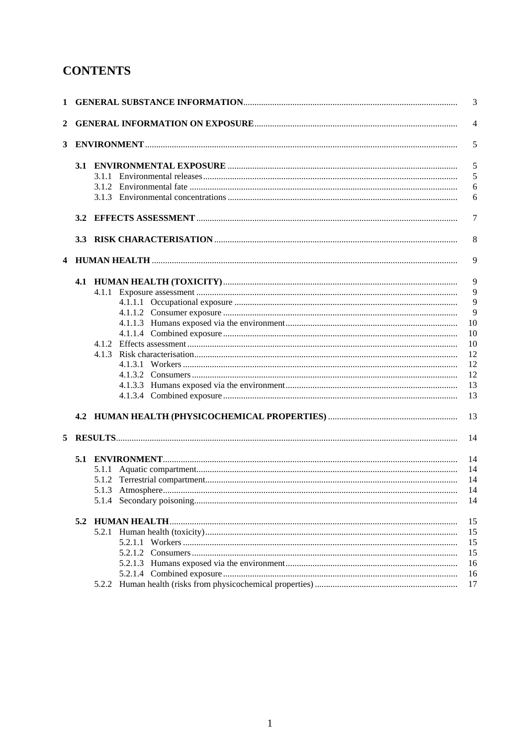# **CONTENTS**

|                |     |  | 3              |
|----------------|-----|--|----------------|
| 2              |     |  | $\overline{4}$ |
| 3 <sup>1</sup> |     |  | 5              |
|                |     |  | 5              |
|                |     |  | 5              |
|                |     |  | 6              |
|                |     |  | 6              |
|                | 3.2 |  | 7              |
|                |     |  | 8              |
|                |     |  | 9              |
|                |     |  | 9              |
|                |     |  | 9              |
|                |     |  | 9              |
|                |     |  | 9              |
|                |     |  | 10             |
|                |     |  | 10             |
|                |     |  | 10             |
|                |     |  | 12             |
|                |     |  | 12             |
|                |     |  | 12             |
|                |     |  | 13             |
|                |     |  | 13             |
|                |     |  | 13             |
| 5              |     |  | 14             |
|                |     |  | 14             |
|                |     |  | 14             |
|                |     |  | 14             |
|                |     |  | 14             |
|                |     |  | 14             |
|                |     |  | 15             |
|                |     |  | 15             |
|                |     |  | 15             |
|                |     |  | 15             |
|                |     |  | 16             |
|                |     |  | 16             |
|                |     |  | 17             |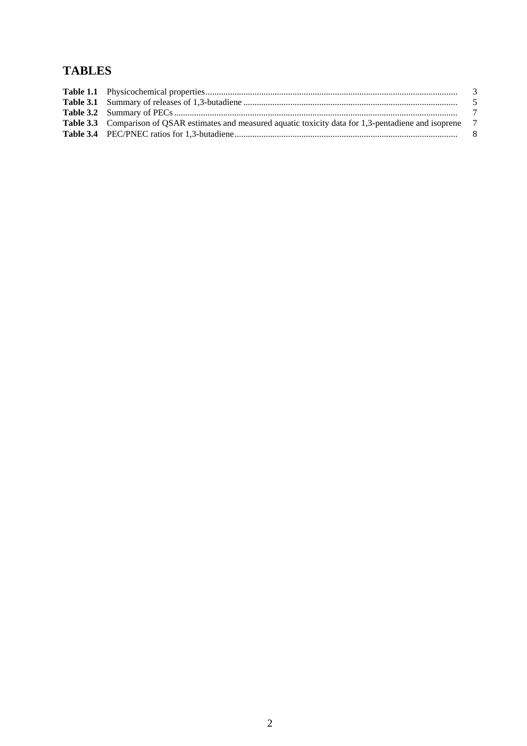# **TABLES**

| <b>Table 3.3</b> Comparison of QSAR estimates and measured aquatic toxicity data for 1,3-pentadiene and isoprene 7 |  |
|--------------------------------------------------------------------------------------------------------------------|--|
|                                                                                                                    |  |
|                                                                                                                    |  |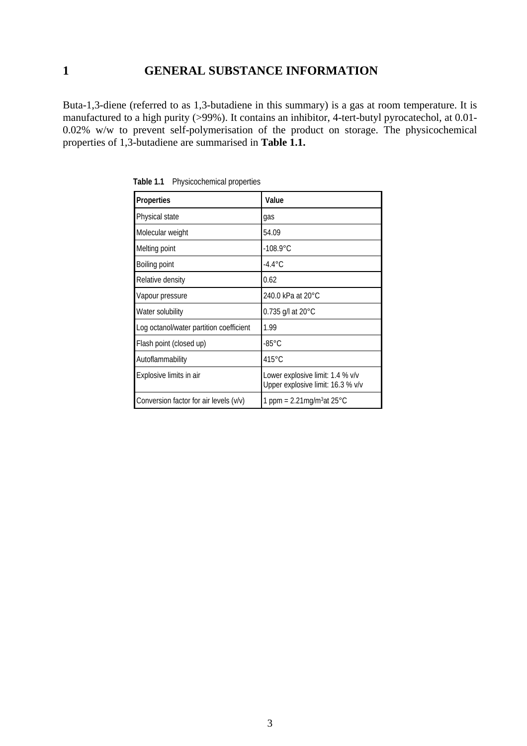# <span id="page-8-0"></span>**1 GENERAL SUBSTANCE INFORMATION**

Buta-1,3-diene (referred to as 1,3-butadiene in this summary) is a gas at room temperature. It is manufactured to a high purity (>99%). It contains an inhibitor, 4-tert-butyl pyrocatechol, at 0.01- 0.02% w/w to prevent self-polymerisation of the product on storage. The physicochemical properties of 1,3-butadiene are summarised in **Table 1.1.** 

| Properties                              | Value                                                                 |  |  |
|-----------------------------------------|-----------------------------------------------------------------------|--|--|
| Physical state                          | gas                                                                   |  |  |
| Molecular weight                        | 54.09                                                                 |  |  |
| Melting point                           | $-108.9^{\circ}$ C                                                    |  |  |
| Boiling point                           | $-4.4^{\circ}$ C                                                      |  |  |
| Relative density                        | 0.62                                                                  |  |  |
| Vapour pressure                         | 240.0 kPa at 20°C                                                     |  |  |
| Water solubility                        | 0.735 g/l at $20^{\circ}$ C                                           |  |  |
| Log octanol/water partition coefficient | 1.99                                                                  |  |  |
| Flash point (closed up)                 | $-85^{\circ}$ C                                                       |  |  |
| Autoflammability                        | $415^{\circ}$ C                                                       |  |  |
| Explosive limits in air                 | Lower explosive limit: 1.4 % v/v<br>Upper explosive limit: 16.3 % v/v |  |  |
| Conversion factor for air levels (v/v)  | 1 ppm = $2.21$ mg/m <sup>3</sup> at 25 °C                             |  |  |

**Table 1.1** Physicochemical properties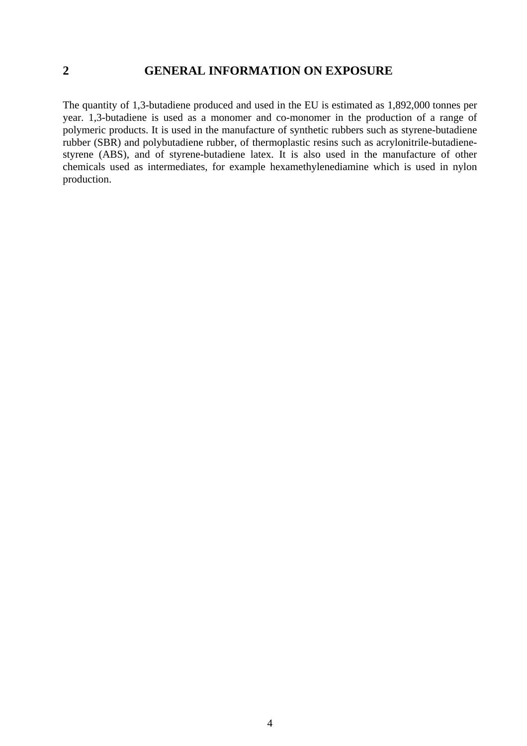# <span id="page-9-0"></span>**2 GENERAL INFORMATION ON EXPOSURE**

The quantity of 1,3-butadiene produced and used in the EU is estimated as 1,892,000 tonnes per year. 1,3-butadiene is used as a monomer and co-monomer in the production of a range of polymeric products. It is used in the manufacture of synthetic rubbers such as styrene-butadiene rubber (SBR) and polybutadiene rubber, of thermoplastic resins such as acrylonitrile-butadienestyrene (ABS), and of styrene-butadiene latex. It is also used in the manufacture of other chemicals used as intermediates, for example hexamethylenediamine which is used in nylon production.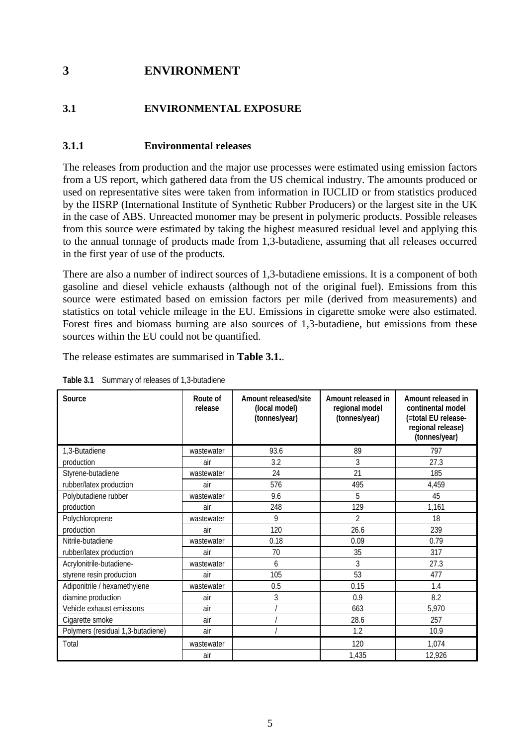# <span id="page-10-0"></span>**3 ENVIRONMENT**

# **3.1 ENVIRONMENTAL EXPOSURE**

### **3.1.1 Environmental releases**

The releases from production and the major use processes were estimated using emission factors from a US report, which gathered data from the US chemical industry. The amounts produced or used on representative sites were taken from information in IUCLID or from statistics produced by the IISRP (International Institute of Synthetic Rubber Producers) or the largest site in the UK in the case of ABS. Unreacted monomer may be present in polymeric products. Possible releases from this source were estimated by taking the highest measured residual level and applying this to the annual tonnage of products made from 1,3-butadiene, assuming that all releases occurred in the first year of use of the products.

There are also a number of indirect sources of 1,3-butadiene emissions. It is a component of both gasoline and diesel vehicle exhausts (although not of the original fuel). Emissions from this source were estimated based on emission factors per mile (derived from measurements) and statistics on total vehicle mileage in the EU. Emissions in cigarette smoke were also estimated. Forest fires and biomass burning are also sources of 1,3-butadiene, but emissions from these sources within the EU could not be quantified.

The release estimates are summarised in **Table 3.1.**.

| Source                            | Route of<br>release | Amount released/site<br>(local model)<br>(tonnes/year) | Amount released in<br>regional model<br>(tonnes/year) | Amount released in<br>continental model<br>(=total EU release-<br>regional release)<br>(tonnes/year) |
|-----------------------------------|---------------------|--------------------------------------------------------|-------------------------------------------------------|------------------------------------------------------------------------------------------------------|
| 1.3-Butadiene                     | wastewater          | 93.6                                                   | 89                                                    | 797                                                                                                  |
| production                        | air                 | 3.2                                                    | 3                                                     | 27.3                                                                                                 |
| Styrene-butadiene                 | wastewater          | 24                                                     | 21                                                    | 185                                                                                                  |
| rubber/latex production           | air                 | 576                                                    | 495                                                   | 4,459                                                                                                |
| Polybutadiene rubber              | wastewater          | 9.6                                                    | 5                                                     | 45                                                                                                   |
| production                        | air                 | 248                                                    | 129                                                   | 1,161                                                                                                |
| Polychloroprene                   | wastewater          | 9                                                      | $\mathfrak{p}$                                        | 18                                                                                                   |
| production                        | air                 | 120                                                    | 26.6                                                  | 239                                                                                                  |
| Nitrile-butadiene                 | wastewater          | 0.18                                                   | 0.09                                                  | 0.79                                                                                                 |
| rubber/latex production           | air                 | 70                                                     | 35                                                    | 317                                                                                                  |
| Acrylonitrile-butadiene-          | wastewater          | 6                                                      | 3                                                     | 27.3                                                                                                 |
| styrene resin production          | air                 | 105                                                    | 53                                                    | 477                                                                                                  |
| Adiponitrile / hexamethylene      | wastewater          | 0.5                                                    | 0.15                                                  | 1.4                                                                                                  |
| diamine production                | air                 | 3                                                      | 0.9                                                   | 8.2                                                                                                  |
| Vehicle exhaust emissions         | air                 |                                                        | 663                                                   | 5,970                                                                                                |
| Cigarette smoke                   | air                 |                                                        | 28.6                                                  | 257                                                                                                  |
| Polymers (residual 1,3-butadiene) | air                 |                                                        | 1.2                                                   | 10.9                                                                                                 |
| Total                             | wastewater          |                                                        | 120                                                   | 1,074                                                                                                |
|                                   | air                 |                                                        | 1,435                                                 | 12,926                                                                                               |

**Table 3.1** Summary of releases of 1,3-butadiene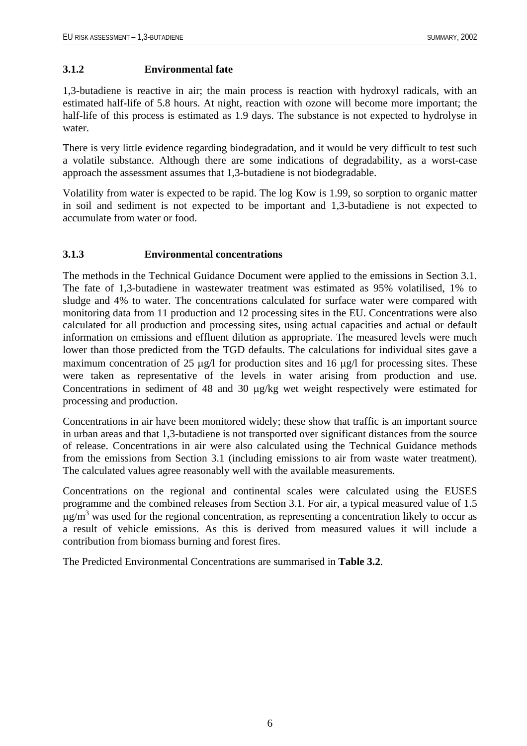#### <span id="page-11-0"></span>**3.1.2 Environmental fate**

1,3-butadiene is reactive in air; the main process is reaction with hydroxyl radicals, with an estimated half-life of 5.8 hours. At night, reaction with ozone will become more important; the half-life of this process is estimated as 1.9 days. The substance is not expected to hydrolyse in water.

There is very little evidence regarding biodegradation, and it would be very difficult to test such a volatile substance. Although there are some indications of degradability, as a worst-case approach the assessment assumes that 1,3-butadiene is not biodegradable.

Volatility from water is expected to be rapid. The log Kow is 1.99, so sorption to organic matter in soil and sediment is not expected to be important and 1,3-butadiene is not expected to accumulate from water or food.

#### **3.1.3 Environmental concentrations**

The methods in the Technical Guidance Document were applied to the emissions in Section 3.1. The fate of 1,3-butadiene in wastewater treatment was estimated as 95% volatilised, 1% to sludge and 4% to water. The concentrations calculated for surface water were compared with monitoring data from 11 production and 12 processing sites in the EU. Concentrations were also calculated for all production and processing sites, using actual capacities and actual or default information on emissions and effluent dilution as appropriate. The measured levels were much lower than those predicted from the TGD defaults. The calculations for individual sites gave a maximum concentration of 25 µg/l for production sites and 16 µg/l for processing sites. These were taken as representative of the levels in water arising from production and use. Concentrations in sediment of 48 and 30 µg/kg wet weight respectively were estimated for processing and production.

Concentrations in air have been monitored widely; these show that traffic is an important source in urban areas and that 1,3-butadiene is not transported over significant distances from the source of release. Concentrations in air were also calculated using the Technical Guidance methods from the emissions from Section 3.1 (including emissions to air from waste water treatment). The calculated values agree reasonably well with the available measurements.

Concentrations on the regional and continental scales were calculated using the EUSES programme and the combined releases from Section 3.1. For air, a typical measured value of 1.5  $\mu$ g/m<sup>3</sup> was used for the regional concentration, as representing a concentration likely to occur as a result of vehicle emissions. As this is derived from measured values it will include a contribution from biomass burning and forest fires.

The Predicted Environmental Concentrations are summarised in **Table 3.2**.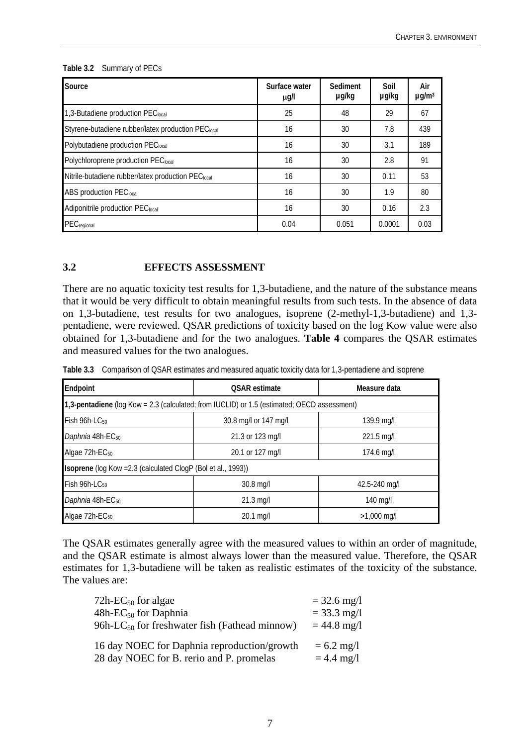| Source                                             | Surface water<br>µg/l | <b>Sediment</b><br>µg/kg | Soil<br>µg/kg | Air<br>$\mu$ g/m <sup>3</sup> |
|----------------------------------------------------|-----------------------|--------------------------|---------------|-------------------------------|
| 1,3-Butadiene production PEC <sub>local</sub>      | 25                    | 48                       | 29            | 67                            |
| Styrene-butadiene rubber/latex production PEClocal | 16                    | 30                       | 7.8           | 439                           |
| Polybutadiene production PEC <sub>local</sub>      | 16                    | 30                       | 3.1           | 189                           |
| Polychloroprene production PEC <sub>local</sub>    | 16                    | 30                       | 2.8           | 91                            |
| Nitrile-butadiene rubber/latex production PEClocal | 16                    | 30                       | 0.11          | 53                            |
| <b>ABS production PEC</b> <sub>local</sub>         | 16                    | 30                       | 1.9           | 80                            |
| Adiponitrile production PEC <sub>local</sub>       | 16                    | 30                       | 0.16          | 2.3                           |
| PEC <sub>regional</sub>                            | 0.04                  | 0.051                    | 0.0001        | 0.03                          |

#### <span id="page-12-0"></span>**Table 3.2** Summary of PECs

#### **3.2 EFFECTS ASSESSMENT**

There are no aquatic toxicity test results for 1,3-butadiene, and the nature of the substance means that it would be very difficult to obtain meaningful results from such tests. In the absence of data on 1,3-butadiene, test results for two analogues, isoprene (2-methyl-1,3-butadiene) and 1,3 pentadiene, were reviewed. QSAR predictions of toxicity based on the log Kow value were also obtained for 1,3-butadiene and for the two analogues. **Table 4** compares the QSAR estimates and measured values for the two analogues.

**Table 3.3** Comparison of QSAR estimates and measured aquatic toxicity data for 1,3-pentadiene and isoprene

| Endpoint                                                                                    | <b>OSAR</b> estimate  | Measure data  |  |  |
|---------------------------------------------------------------------------------------------|-----------------------|---------------|--|--|
| 1,3-pentadiene (log Kow = 2.3 (calculated; from IUCLID) or 1.5 (estimated; OECD assessment) |                       |               |  |  |
| $Fish 96h-LC50$                                                                             | 30.8 mg/l or 147 mg/l | 139.9 mg/l    |  |  |
| Daphnia 48h-EC <sub>50</sub>                                                                | 21.3 or 123 mg/l      | 221.5 mg/l    |  |  |
| Algae 72h-EC <sub>50</sub>                                                                  | 20.1 or 127 mg/l      | 174.6 mg/l    |  |  |
| <b>Isoprene</b> (log Kow = 2.3 (calculated ClogP (Bol et al., 1993))                        |                       |               |  |  |
| Fish 96h-LC <sub>50</sub>                                                                   | 30.8 mg/l             | 42.5-240 mg/l |  |  |
| Daphnia 48h-EC <sub>50</sub>                                                                | $21.3$ mg/l           | $140$ mg/l    |  |  |
| Algae 72h-EC <sub>50</sub>                                                                  | 20.1 mg/l             | $>1,000$ mg/l |  |  |

The QSAR estimates generally agree with the measured values to within an order of magnitude, and the QSAR estimate is almost always lower than the measured value. Therefore, the QSAR estimates for 1,3-butadiene will be taken as realistic estimates of the toxicity of the substance. The values are:

| $72h$ -EC <sub>50</sub> for algae                         | $= 32.6$ mg/l |
|-----------------------------------------------------------|---------------|
| $48h$ -EC <sub>50</sub> for Daphnia                       | $= 33.3$ mg/l |
| 96h-LC <sub>50</sub> for freshwater fish (Fathead minnow) | $= 44.8$ mg/l |
| 16 day NOEC for Daphnia reproduction/growth               | $= 6.2$ mg/l  |
| 28 day NOEC for B. rerio and P. promelas                  | $= 4.4$ mg/l  |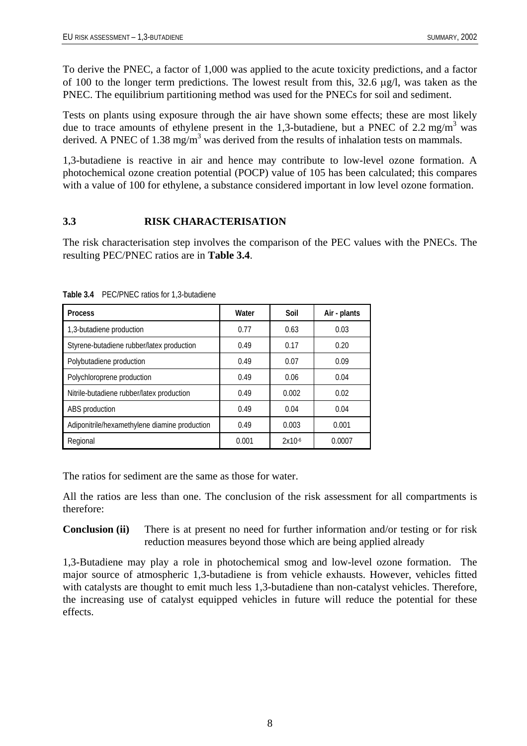<span id="page-13-0"></span>To derive the PNEC, a factor of 1,000 was applied to the acute toxicity predictions, and a factor of 100 to the longer term predictions. The lowest result from this, 32.6 µg/l, was taken as the PNEC. The equilibrium partitioning method was used for the PNECs for soil and sediment.

Tests on plants using exposure through the air have shown some effects; these are most likely due to trace amounts of ethylene present in the 1,3-butadiene, but a PNEC of 2.2 mg/m<sup>3</sup> was derived. A PNEC of 1.38 mg/m<sup>3</sup> was derived from the results of inhalation tests on mammals.

1,3-butadiene is reactive in air and hence may contribute to low-level ozone formation. A photochemical ozone creation potential (POCP) value of 105 has been calculated; this compares with a value of 100 for ethylene, a substance considered important in low level ozone formation.

#### **3.3 RISK CHARACTERISATION**

The risk characterisation step involves the comparison of the PEC values with the PNECs. The resulting PEC/PNEC ratios are in **Table 3.4**.

| <b>Process</b>                                | Water | Soil        | Air - plants |
|-----------------------------------------------|-------|-------------|--------------|
| 1,3-butadiene production                      | 0.77  | 0.63        | 0.03         |
| Styrene-butadiene rubber/latex production     | 0.49  | 0.17        | 0.20         |
| Polybutadiene production                      | 0.49  | 0.07        | 0.09         |
| Polychloroprene production                    | 0.49  | 0.06        | 0.04         |
| Nitrile-butadiene rubber/latex production     | 0.49  | 0.002       | 0.02         |
| ABS production                                | 0.49  | 0.04        | 0.04         |
| Adiponitrile/hexamethylene diamine production | 0.49  | 0.003       | 0.001        |
| Regional                                      | 0.001 | $2x10^{-6}$ | 0.0007       |

**Table 3.4** PEC/PNEC ratios for 1,3-butadiene

The ratios for sediment are the same as those for water.

All the ratios are less than one. The conclusion of the risk assessment for all compartments is therefore:

**Conclusion (ii)** There is at present no need for further information and/or testing or for risk reduction measures beyond those which are being applied already

1,3-Butadiene may play a role in photochemical smog and low-level ozone formation. The major source of atmospheric 1,3-butadiene is from vehicle exhausts. However, vehicles fitted with catalysts are thought to emit much less 1,3-butadiene than non-catalyst vehicles. Therefore, the increasing use of catalyst equipped vehicles in future will reduce the potential for these effects.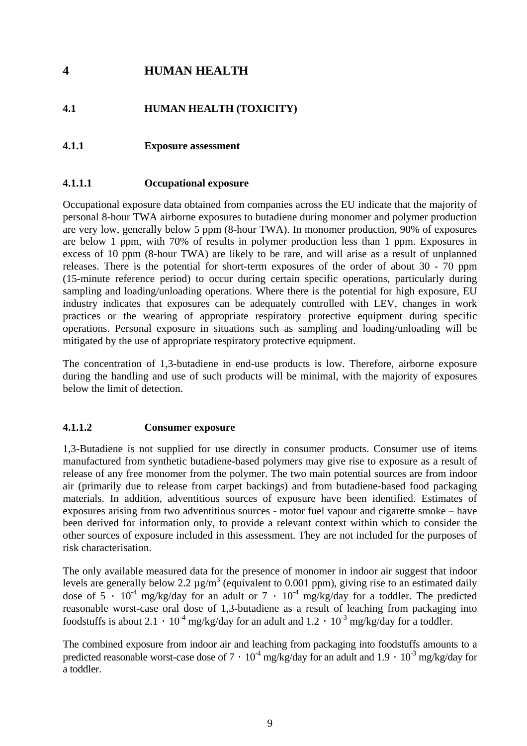# <span id="page-14-0"></span>**4 HUMAN HEALTH**

# **4.1 HUMAN HEALTH (TOXICITY)**

### **4.1.1 Exposure assessment**

#### **4.1.1.1 Occupational exposure**

Occupational exposure data obtained from companies across the EU indicate that the majority of personal 8-hour TWA airborne exposures to butadiene during monomer and polymer production are very low, generally below 5 ppm (8-hour TWA). In monomer production, 90% of exposures are below 1 ppm, with 70% of results in polymer production less than 1 ppm. Exposures in excess of 10 ppm (8-hour TWA) are likely to be rare, and will arise as a result of unplanned releases. There is the potential for short-term exposures of the order of about 30 - 70 ppm (15-minute reference period) to occur during certain specific operations, particularly during sampling and loading/unloading operations. Where there is the potential for high exposure, EU industry indicates that exposures can be adequately controlled with LEV, changes in work practices or the wearing of appropriate respiratory protective equipment during specific operations. Personal exposure in situations such as sampling and loading/unloading will be mitigated by the use of appropriate respiratory protective equipment.

The concentration of 1,3-butadiene in end-use products is low. Therefore, airborne exposure during the handling and use of such products will be minimal, with the majority of exposures below the limit of detection.

#### **4.1.1.2 Consumer exposure**

1,3-Butadiene is not supplied for use directly in consumer products. Consumer use of items manufactured from synthetic butadiene-based polymers may give rise to exposure as a result of release of any free monomer from the polymer. The two main potential sources are from indoor air (primarily due to release from carpet backings) and from butadiene-based food packaging materials. In addition, adventitious sources of exposure have been identified. Estimates of exposures arising from two adventitious sources - motor fuel vapour and cigarette smoke – have been derived for information only, to provide a relevant context within which to consider the other sources of exposure included in this assessment. They are not included for the purposes of risk characterisation.

The only available measured data for the presence of monomer in indoor air suggest that indoor levels are generally below 2.2  $\mu$ g/m<sup>3</sup> (equivalent to 0.001 ppm), giving rise to an estimated daily dose of 5  $\cdot$  10<sup>-4</sup> mg/kg/day for an adult or 7  $\cdot$  10<sup>-4</sup> mg/kg/day for a toddler. The predicted reasonable worst-case oral dose of 1,3-butadiene as a result of leaching from packaging into foodstuffs is about 2.1  $\cdot$  10<sup>-4</sup> mg/kg/day for an adult and 1.2  $\cdot$  10<sup>-3</sup> mg/kg/day for a toddler.

The combined exposure from indoor air and leaching from packaging into foodstuffs amounts to a predicted reasonable worst-case dose of  $7 \cdot 10^{-4}$  mg/kg/day for an adult and  $1.9 \cdot 10^{-3}$  mg/kg/day for a toddler.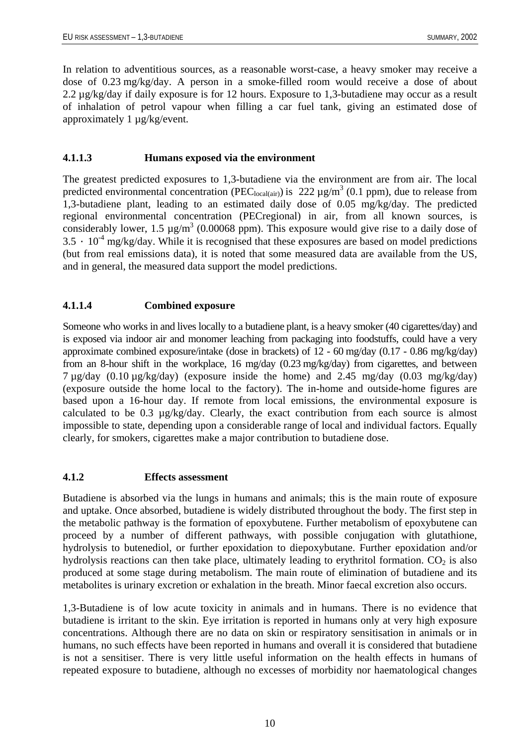<span id="page-15-0"></span>In relation to adventitious sources, as a reasonable worst-case, a heavy smoker may receive a dose of 0.23 mg/kg/day. A person in a smoke-filled room would receive a dose of about 2.2 µg/kg/day if daily exposure is for 12 hours. Exposure to 1,3-butadiene may occur as a result of inhalation of petrol vapour when filling a car fuel tank, giving an estimated dose of approximately 1 µg/kg/event.

#### **4.1.1.3 Humans exposed via the environment**

The greatest predicted exposures to 1,3-butadiene via the environment are from air. The local predicted environmental concentration (PEC<sub>local(air)</sub>) is 222  $\mu$ g/m<sup>3</sup> (0.1 ppm), due to release from 1,3-butadiene plant, leading to an estimated daily dose of 0.05 mg/kg/day. The predicted regional environmental concentration (PECregional) in air, from all known sources, is considerably lower, 1.5  $\mu$ g/m<sup>3</sup> (0.00068 ppm). This exposure would give rise to a daily dose of  $3.5 \cdot 10^{-4}$  mg/kg/day. While it is recognised that these exposures are based on model predictions (but from real emissions data), it is noted that some measured data are available from the US, and in general, the measured data support the model predictions.

# **4.1.1.4 Combined exposure**

Someone who works in and lives locally to a butadiene plant, is a heavy smoker (40 cigarettes/day) and is exposed via indoor air and monomer leaching from packaging into foodstuffs, could have a very approximate combined exposure/intake (dose in brackets) of 12 - 60 mg/day (0.17 - 0.86 mg/kg/day) from an 8-hour shift in the workplace, 16 mg/day (0.23 mg/kg/day) from cigarettes, and between 7 µg/day (0.10 µg/kg/day) (exposure inside the home) and 2.45 mg/day (0.03 mg/kg/day) (exposure outside the home local to the factory). The in-home and outside-home figures are based upon a 16-hour day. If remote from local emissions, the environmental exposure is calculated to be 0.3 µg/kg/day. Clearly, the exact contribution from each source is almost impossible to state, depending upon a considerable range of local and individual factors. Equally clearly, for smokers, cigarettes make a major contribution to butadiene dose.

#### **4.1.2 Effects assessment**

Butadiene is absorbed via the lungs in humans and animals; this is the main route of exposure and uptake. Once absorbed, butadiene is widely distributed throughout the body. The first step in the metabolic pathway is the formation of epoxybutene. Further metabolism of epoxybutene can proceed by a number of different pathways, with possible conjugation with glutathione, hydrolysis to butenediol, or further epoxidation to diepoxybutane. Further epoxidation and/or hydrolysis reactions can then take place, ultimately leading to erythritol formation.  $CO<sub>2</sub>$  is also produced at some stage during metabolism. The main route of elimination of butadiene and its metabolites is urinary excretion or exhalation in the breath. Minor faecal excretion also occurs.

1,3-Butadiene is of low acute toxicity in animals and in humans. There is no evidence that butadiene is irritant to the skin. Eye irritation is reported in humans only at very high exposure concentrations. Although there are no data on skin or respiratory sensitisation in animals or in humans, no such effects have been reported in humans and overall it is considered that butadiene is not a sensitiser. There is very little useful information on the health effects in humans of repeated exposure to butadiene, although no excesses of morbidity nor haematological changes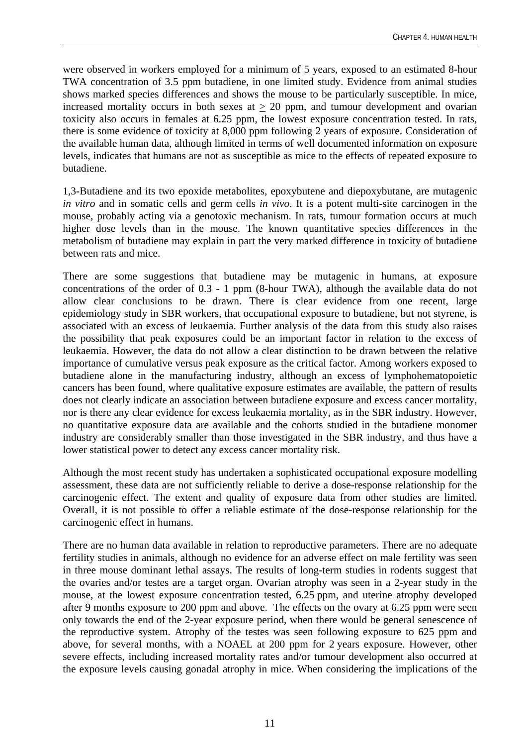were observed in workers employed for a minimum of 5 years, exposed to an estimated 8-hour TWA concentration of 3.5 ppm butadiene, in one limited study. Evidence from animal studies shows marked species differences and shows the mouse to be particularly susceptible. In mice, increased mortality occurs in both sexes at  $\geq$  20 ppm, and tumour development and ovarian toxicity also occurs in females at 6.25 ppm, the lowest exposure concentration tested. In rats, there is some evidence of toxicity at 8,000 ppm following 2 years of exposure. Consideration of the available human data, although limited in terms of well documented information on exposure levels, indicates that humans are not as susceptible as mice to the effects of repeated exposure to butadiene.

1,3-Butadiene and its two epoxide metabolites, epoxybutene and diepoxybutane, are mutagenic *in vitro* and in somatic cells and germ cells *in vivo*. It is a potent multi-site carcinogen in the mouse, probably acting via a genotoxic mechanism. In rats, tumour formation occurs at much higher dose levels than in the mouse. The known quantitative species differences in the metabolism of butadiene may explain in part the very marked difference in toxicity of butadiene between rats and mice.

There are some suggestions that butadiene may be mutagenic in humans, at exposure concentrations of the order of 0.3 - 1 ppm (8-hour TWA), although the available data do not allow clear conclusions to be drawn. There is clear evidence from one recent, large epidemiology study in SBR workers, that occupational exposure to butadiene, but not styrene, is associated with an excess of leukaemia. Further analysis of the data from this study also raises the possibility that peak exposures could be an important factor in relation to the excess of leukaemia. However, the data do not allow a clear distinction to be drawn between the relative importance of cumulative versus peak exposure as the critical factor. Among workers exposed to butadiene alone in the manufacturing industry, although an excess of lymphohematopoietic cancers has been found, where qualitative exposure estimates are available, the pattern of results does not clearly indicate an association between butadiene exposure and excess cancer mortality, nor is there any clear evidence for excess leukaemia mortality, as in the SBR industry. However, no quantitative exposure data are available and the cohorts studied in the butadiene monomer industry are considerably smaller than those investigated in the SBR industry, and thus have a lower statistical power to detect any excess cancer mortality risk.

Although the most recent study has undertaken a sophisticated occupational exposure modelling assessment, these data are not sufficiently reliable to derive a dose-response relationship for the carcinogenic effect. The extent and quality of exposure data from other studies are limited. Overall, it is not possible to offer a reliable estimate of the dose-response relationship for the carcinogenic effect in humans.

There are no human data available in relation to reproductive parameters. There are no adequate fertility studies in animals, although no evidence for an adverse effect on male fertility was seen in three mouse dominant lethal assays. The results of long-term studies in rodents suggest that the ovaries and/or testes are a target organ. Ovarian atrophy was seen in a 2-year study in the mouse, at the lowest exposure concentration tested, 6.25 ppm, and uterine atrophy developed after 9 months exposure to 200 ppm and above. The effects on the ovary at 6.25 ppm were seen only towards the end of the 2-year exposure period, when there would be general senescence of the reproductive system. Atrophy of the testes was seen following exposure to 625 ppm and above, for several months, with a NOAEL at 200 ppm for 2 years exposure. However, other severe effects, including increased mortality rates and/or tumour development also occurred at the exposure levels causing gonadal atrophy in mice. When considering the implications of the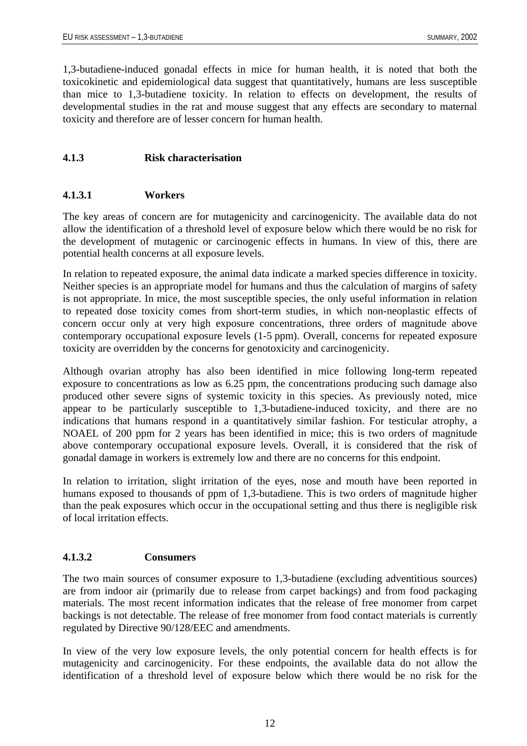<span id="page-17-0"></span>1,3-butadiene-induced gonadal effects in mice for human health, it is noted that both the toxicokinetic and epidemiological data suggest that quantitatively, humans are less susceptible than mice to 1,3-butadiene toxicity. In relation to effects on development, the results of developmental studies in the rat and mouse suggest that any effects are secondary to maternal toxicity and therefore are of lesser concern for human health.

# **4.1.3 Risk characterisation**

# **4.1.3.1 Workers**

The key areas of concern are for mutagenicity and carcinogenicity. The available data do not allow the identification of a threshold level of exposure below which there would be no risk for the development of mutagenic or carcinogenic effects in humans. In view of this, there are potential health concerns at all exposure levels.

In relation to repeated exposure, the animal data indicate a marked species difference in toxicity. Neither species is an appropriate model for humans and thus the calculation of margins of safety is not appropriate. In mice, the most susceptible species, the only useful information in relation to repeated dose toxicity comes from short-term studies, in which non-neoplastic effects of concern occur only at very high exposure concentrations, three orders of magnitude above contemporary occupational exposure levels (1-5 ppm). Overall, concerns for repeated exposure toxicity are overridden by the concerns for genotoxicity and carcinogenicity.

Although ovarian atrophy has also been identified in mice following long-term repeated exposure to concentrations as low as 6.25 ppm, the concentrations producing such damage also produced other severe signs of systemic toxicity in this species. As previously noted, mice appear to be particularly susceptible to 1,3-butadiene-induced toxicity, and there are no indications that humans respond in a quantitatively similar fashion. For testicular atrophy, a NOAEL of 200 ppm for 2 years has been identified in mice; this is two orders of magnitude above contemporary occupational exposure levels. Overall, it is considered that the risk of gonadal damage in workers is extremely low and there are no concerns for this endpoint.

In relation to irritation, slight irritation of the eyes, nose and mouth have been reported in humans exposed to thousands of ppm of 1,3-butadiene. This is two orders of magnitude higher than the peak exposures which occur in the occupational setting and thus there is negligible risk of local irritation effects.

# **4.1.3.2 Consumers**

The two main sources of consumer exposure to 1,3-butadiene (excluding adventitious sources) are from indoor air (primarily due to release from carpet backings) and from food packaging materials. The most recent information indicates that the release of free monomer from carpet backings is not detectable. The release of free monomer from food contact materials is currently regulated by Directive 90/128/EEC and amendments.

In view of the very low exposure levels, the only potential concern for health effects is for mutagenicity and carcinogenicity. For these endpoints, the available data do not allow the identification of a threshold level of exposure below which there would be no risk for the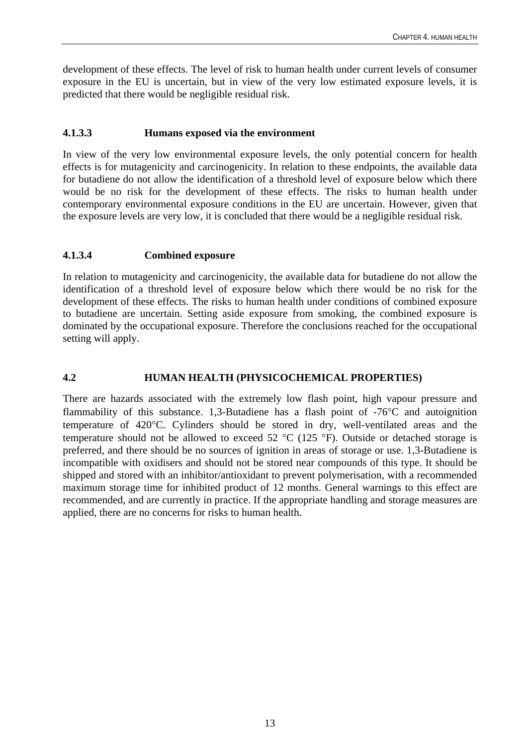<span id="page-18-0"></span>development of these effects. The level of risk to human health under current levels of consumer exposure in the EU is uncertain, but in view of the very low estimated exposure levels, it is predicted that there would be negligible residual risk.

#### **4.1.3.3 Humans exposed via the environment**

In view of the very low environmental exposure levels, the only potential concern for health effects is for mutagenicity and carcinogenicity. In relation to these endpoints, the available data for butadiene do not allow the identification of a threshold level of exposure below which there would be no risk for the development of these effects. The risks to human health under contemporary environmental exposure conditions in the EU are uncertain. However, given that the exposure levels are very low, it is concluded that there would be a negligible residual risk.

#### **4.1.3.4 Combined exposure**

In relation to mutagenicity and carcinogenicity, the available data for butadiene do not allow the identification of a threshold level of exposure below which there would be no risk for the development of these effects. The risks to human health under conditions of combined exposure to butadiene are uncertain. Setting aside exposure from smoking, the combined exposure is dominated by the occupational exposure. Therefore the conclusions reached for the occupational setting will apply.

# **4.2 HUMAN HEALTH (PHYSICOCHEMICAL PROPERTIES)**

There are hazards associated with the extremely low flash point, high vapour pressure and flammability of this substance. 1,3-Butadiene has a flash point of -76°C and autoignition temperature of 420°C. Cylinders should be stored in dry, well-ventilated areas and the temperature should not be allowed to exceed 52  $^{\circ}$ C (125  $^{\circ}$ F). Outside or detached storage is preferred, and there should be no sources of ignition in areas of storage or use. 1,3-Butadiene is incompatible with oxidisers and should not be stored near compounds of this type. It should be shipped and stored with an inhibitor/antioxidant to prevent polymerisation, with a recommended maximum storage time for inhibited product of 12 months. General warnings to this effect are recommended, and are currently in practice. If the appropriate handling and storage measures are applied, there are no concerns for risks to human health.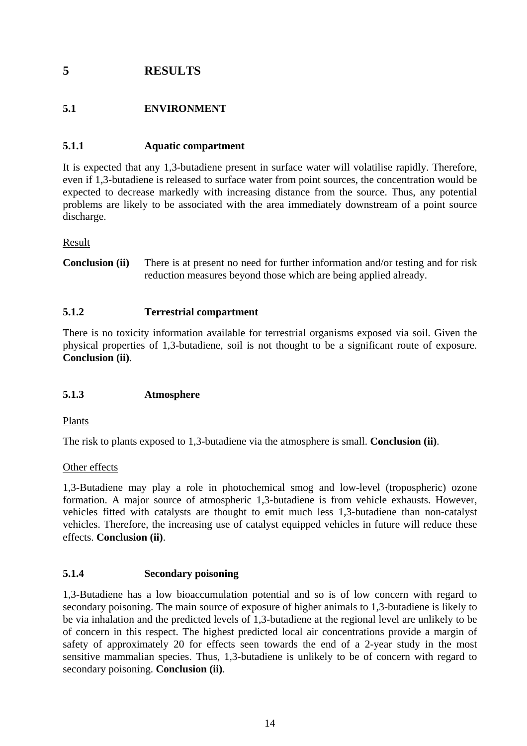# <span id="page-19-0"></span>**5 RESULTS**

# **5.1 ENVIRONMENT**

# **5.1.1 Aquatic compartment**

It is expected that any 1,3-butadiene present in surface water will volatilise rapidly. Therefore, even if 1,3-butadiene is released to surface water from point sources, the concentration would be expected to decrease markedly with increasing distance from the source. Thus, any potential problems are likely to be associated with the area immediately downstream of a point source discharge.

Result

**Conclusion (ii)** There is at present no need for further information and/or testing and for risk reduction measures beyond those which are being applied already.

#### **5.1.2 Terrestrial compartment**

There is no toxicity information available for terrestrial organisms exposed via soil. Given the physical properties of 1,3-butadiene, soil is not thought to be a significant route of exposure. **Conclusion (ii)**.

# **5.1.3 Atmosphere**

Plants

The risk to plants exposed to 1,3-butadiene via the atmosphere is small. **Conclusion (ii)**.

#### Other effects

1,3-Butadiene may play a role in photochemical smog and low-level (tropospheric) ozone formation. A major source of atmospheric 1,3-butadiene is from vehicle exhausts. However, vehicles fitted with catalysts are thought to emit much less 1,3-butadiene than non-catalyst vehicles. Therefore, the increasing use of catalyst equipped vehicles in future will reduce these effects. **Conclusion (ii)**.

#### **5.1.4 Secondary poisoning**

1,3-Butadiene has a low bioaccumulation potential and so is of low concern with regard to secondary poisoning. The main source of exposure of higher animals to 1,3-butadiene is likely to be via inhalation and the predicted levels of 1,3-butadiene at the regional level are unlikely to be of concern in this respect. The highest predicted local air concentrations provide a margin of safety of approximately 20 for effects seen towards the end of a 2-year study in the most sensitive mammalian species. Thus, 1,3-butadiene is unlikely to be of concern with regard to secondary poisoning. **Conclusion (ii)**.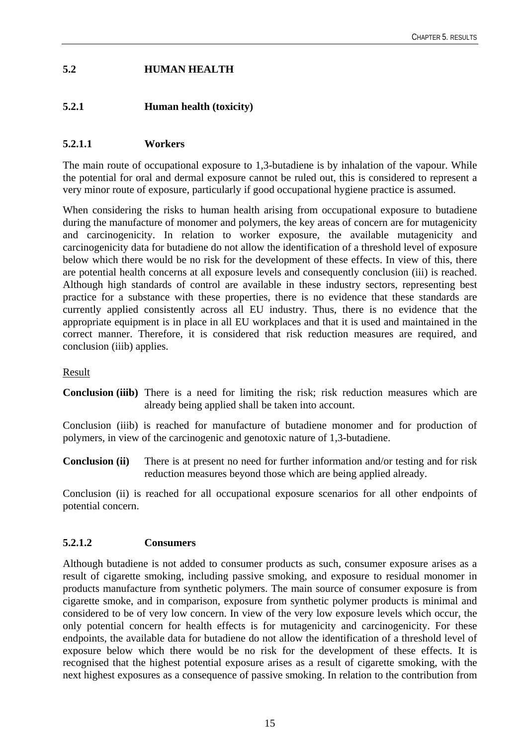# <span id="page-20-0"></span>**5.2 HUMAN HEALTH**

# **5.2.1 Human health (toxicity)**

# **5.2.1.1 Workers**

The main route of occupational exposure to 1,3-butadiene is by inhalation of the vapour. While the potential for oral and dermal exposure cannot be ruled out, this is considered to represent a very minor route of exposure, particularly if good occupational hygiene practice is assumed.

When considering the risks to human health arising from occupational exposure to butadiene during the manufacture of monomer and polymers, the key areas of concern are for mutagenicity and carcinogenicity. In relation to worker exposure, the available mutagenicity and carcinogenicity data for butadiene do not allow the identification of a threshold level of exposure below which there would be no risk for the development of these effects. In view of this, there are potential health concerns at all exposure levels and consequently conclusion (iii) is reached. Although high standards of control are available in these industry sectors, representing best practice for a substance with these properties, there is no evidence that these standards are currently applied consistently across all EU industry. Thus, there is no evidence that the appropriate equipment is in place in all EU workplaces and that it is used and maintained in the correct manner. Therefore, it is considered that risk reduction measures are required, and conclusion (iiib) applies.

#### Result

**Conclusion (iiib)** There is a need for limiting the risk; risk reduction measures which are already being applied shall be taken into account.

Conclusion (iiib) is reached for manufacture of butadiene monomer and for production of polymers, in view of the carcinogenic and genotoxic nature of 1,3-butadiene.

**Conclusion (ii)** There is at present no need for further information and/or testing and for risk reduction measures beyond those which are being applied already.

Conclusion (ii) is reached for all occupational exposure scenarios for all other endpoints of potential concern.

# **5.2.1.2 Consumers**

Although butadiene is not added to consumer products as such, consumer exposure arises as a result of cigarette smoking, including passive smoking, and exposure to residual monomer in products manufacture from synthetic polymers. The main source of consumer exposure is from cigarette smoke, and in comparison, exposure from synthetic polymer products is minimal and considered to be of very low concern. In view of the very low exposure levels which occur, the only potential concern for health effects is for mutagenicity and carcinogenicity. For these endpoints, the available data for butadiene do not allow the identification of a threshold level of exposure below which there would be no risk for the development of these effects. It is recognised that the highest potential exposure arises as a result of cigarette smoking, with the next highest exposures as a consequence of passive smoking. In relation to the contribution from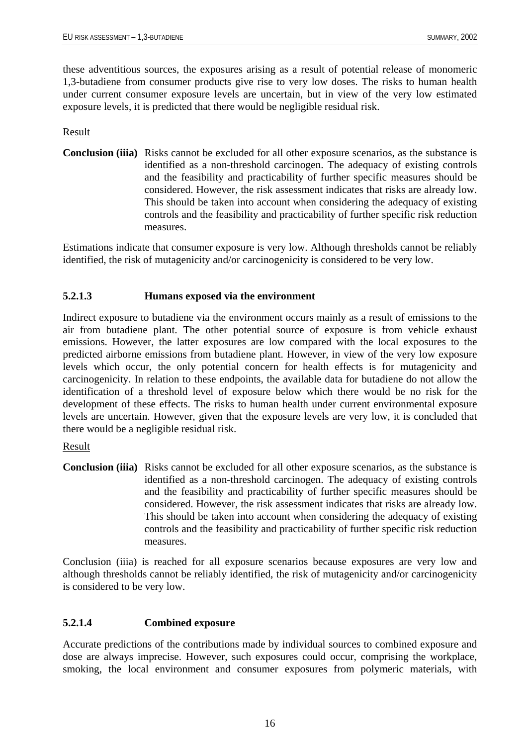<span id="page-21-0"></span>these adventitious sources, the exposures arising as a result of potential release of monomeric 1,3-butadiene from consumer products give rise to very low doses. The risks to human health under current consumer exposure levels are uncertain, but in view of the very low estimated exposure levels, it is predicted that there would be negligible residual risk.

#### Result

**Conclusion (iiia)** Risks cannot be excluded for all other exposure scenarios, as the substance is identified as a non-threshold carcinogen. The adequacy of existing controls and the feasibility and practicability of further specific measures should be considered. However, the risk assessment indicates that risks are already low. This should be taken into account when considering the adequacy of existing controls and the feasibility and practicability of further specific risk reduction measures.

Estimations indicate that consumer exposure is very low. Although thresholds cannot be reliably identified, the risk of mutagenicity and/or carcinogenicity is considered to be very low.

#### **5.2.1.3 Humans exposed via the environment**

Indirect exposure to butadiene via the environment occurs mainly as a result of emissions to the air from butadiene plant. The other potential source of exposure is from vehicle exhaust emissions. However, the latter exposures are low compared with the local exposures to the predicted airborne emissions from butadiene plant. However, in view of the very low exposure levels which occur, the only potential concern for health effects is for mutagenicity and carcinogenicity. In relation to these endpoints, the available data for butadiene do not allow the identification of a threshold level of exposure below which there would be no risk for the development of these effects. The risks to human health under current environmental exposure levels are uncertain. However, given that the exposure levels are very low, it is concluded that there would be a negligible residual risk.

#### Result

**Conclusion (iiia)** Risks cannot be excluded for all other exposure scenarios, as the substance is identified as a non-threshold carcinogen. The adequacy of existing controls and the feasibility and practicability of further specific measures should be considered. However, the risk assessment indicates that risks are already low. This should be taken into account when considering the adequacy of existing controls and the feasibility and practicability of further specific risk reduction measures.

Conclusion (iiia) is reached for all exposure scenarios because exposures are very low and although thresholds cannot be reliably identified, the risk of mutagenicity and/or carcinogenicity is considered to be very low.

# **5.2.1.4 Combined exposure**

Accurate predictions of the contributions made by individual sources to combined exposure and dose are always imprecise. However, such exposures could occur, comprising the workplace, smoking, the local environment and consumer exposures from polymeric materials, with